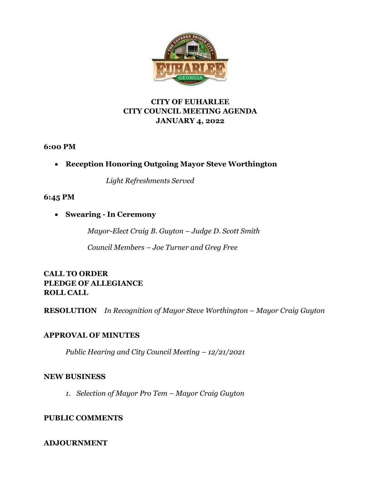

# **CITY OF EUHARLEE CITY COUNCIL MEETING AGENDA JANUARY 4, 2022**

**6:00 PM** 

• **Reception Honoring Outgoing Mayor Steve Worthington**

 *Light Refreshments Served*

# **6:45 PM**

• **Swearing - In Ceremony**

*Mayor-Elect Craig B. Guyton – Judge D. Scott Smith*

*Council Members – Joe Turner and Greg Free*

**CALL TO ORDER PLEDGE OF ALLEGIANCE ROLL CALL**

**RESOLUTION** *In Recognition of Mayor Steve Worthington – Mayor Craig Guyton*

# **APPROVAL OF MINUTES**

*Public Hearing and City Council Meeting – 12/21/2021*

## **NEW BUSINESS**

*1. Selection of Mayor Pro Tem – Mayor Craig Guyton*

# **PUBLIC COMMENTS**

# **ADJOURNMENT**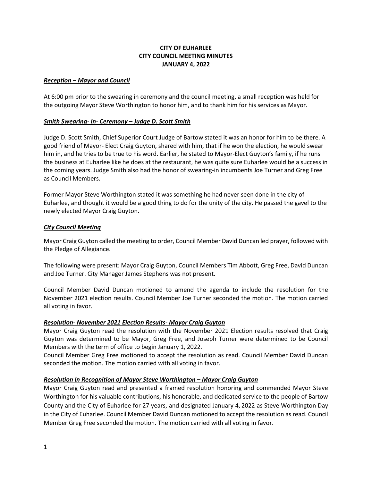## **CITY OF EUHARLEE CITY COUNCIL MEETING MINUTES JANUARY 4, 2022**

#### *Reception – Mayor and Council*

At 6:00 pm prior to the swearing in ceremony and the council meeting, a small reception was held for the outgoing Mayor Steve Worthington to honor him, and to thank him for his services as Mayor.

#### *Smith Swearing- In- Ceremony – Judge D. Scott Smith*

Judge D. Scott Smith, Chief Superior Court Judge of Bartow stated it was an honor for him to be there. A good friend of Mayor- Elect Craig Guyton, shared with him, that if he won the election, he would swear him in, and he tries to be true to his word. Earlier, he stated to Mayor-Elect Guyton's family, if he runs the business at Euharlee like he does at the restaurant, he was quite sure Euharlee would be a success in the coming years. Judge Smith also had the honor of swearing-in incumbents Joe Turner and Greg Free as Council Members.

Former Mayor Steve Worthington stated it was something he had never seen done in the city of Euharlee, and thought it would be a good thing to do for the unity of the city. He passed the gavel to the newly elected Mayor Craig Guyton.

### *City Council Meeting*

Mayor Craig Guyton called the meeting to order, Council Member David Duncan led prayer, followed with the Pledge of Allegiance.

The following were present: Mayor Craig Guyton, Council Members Tim Abbott, Greg Free, David Duncan and Joe Turner. City Manager James Stephens was not present.

Council Member David Duncan motioned to amend the agenda to include the resolution for the November 2021 election results. Council Member Joe Turner seconded the motion. The motion carried all voting in favor.

### *Resolution- November 2021 Election Results- Mayor Craig Guyton*

Mayor Craig Guyton read the resolution with the November 2021 Election results resolved that Craig Guyton was determined to be Mayor, Greg Free, and Joseph Turner were determined to be Council Members with the term of office to begin January 1, 2022.

Council Member Greg Free motioned to accept the resolution as read. Council Member David Duncan seconded the motion. The motion carried with all voting in favor.

### *Resolution In Recognition of Mayor Steve Worthington – Mayor Craig Guyton*

Mayor Craig Guyton read and presented a framed resolution honoring and commended Mayor Steve Worthington for his valuable contributions, his honorable, and dedicated service to the people of Bartow County and the City of Euharlee for 27 years, and designated January 4, 2022 as Steve Worthington Day in the City of Euharlee. Council Member David Duncan motioned to accept the resolution as read. Council Member Greg Free seconded the motion. The motion carried with all voting in favor.